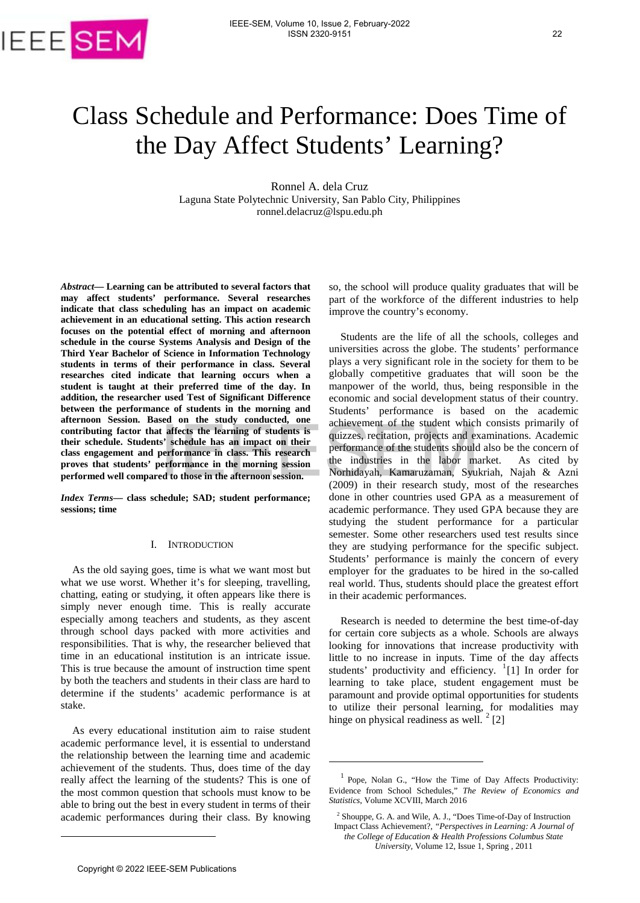

# Class Schedule and Performance: Does Time of the Day Affect Students' Learning?

Ronnel A. dela Cruz Laguna State Polytechnic University, San Pablo City, Philippines ronnel.delacruz@lspu.edu.ph

-

*Abstract***— Learning can be attributed to several factors that may affect students' performance. Several researches indicate that class scheduling has an impact on academic achievement in an educational setting. This action research focuses on the potential effect of morning and afternoon schedule in the course Systems Analysis and Design of the Third Year Bachelor of Science in Information Technology students in terms of their performance in class. Several researches cited indicate that learning occurs when a student is taught at their preferred time of the day. In addition, the researcher used Test of Significant Difference between the performance of students in the morning and afternoon Session. Based on the study conducted, one contributing factor that affects the learning of students is their schedule. Students' schedule has an impact on their class engagement and performance in class. This research proves that students' performance in the morning session performed well compared to those in the afternoon session.**

*Index Terms***— class schedule; SAD; student performance; sessions; time**

#### I. INTRODUCTION

As the old saying goes, time is what we want most but what we use worst. Whether it's for sleeping, travelling, chatting, eating or studying, it often appears like there is simply never enough time. This is really accurate especially among teachers and students, as they ascent through school days packed with more activities and responsibilities. That is why, the researcher believed that time in an educational institution is an intricate issue. This is true because the amount of instruction time spent by both the teachers and students in their class are hard to determine if the students' academic performance is at stake. [E](#page-0-0)xtrained the between the state of the beat and the state of the state of the state of the state of the state of the state of the state of the state of the state of the state of the state of the state of the state of the

<span id="page-0-3"></span><span id="page-0-1"></span>As every educational institution aim to raise student academic performance level, it is essential to understand the relationship between the learning time and academic achievement of the students. Thus, does time of the day really affect the learning of the students? This is one of the most common question that schools must know to be able to bring out the best in every student in terms of their academic performances during their class. By knowing so, the school will produce quality graduates that will be part of the workforce of the different industries to help improve the country's economy.

Students are the life of all the schools, colleges and universities across the globe. The students' performance plays a very significant role in the society for them to be globally competitive graduates that will soon be the manpower of the world, thus, being responsible in the economic and social development status of their country. Students' performance is based on the academic achievement of the student which consists primarily of quizzes, recitation, projects and examinations. Academic performance of the students should also be the concern of the industries in the labor market. As cited by Norhidayah, Kamaruzaman, Syukriah, Najah & Azni (2009) in their research study, most of the researches done in other countries used GPA as a measurement of academic performance. They used GPA because they are studying the student performance for a particular semester. Some other researchers used test results since they are studying performance for the specific subject. Students' performance is mainly the concern of every employer for the graduates to be hired in the so-called real world. Thus, students should place the greatest effort in their academic performances.

Research is needed to determine the best time-of-day for certain core subjects as a whole. Schools are always looking for innovations that increase productivity with little to no increase in inputs. Time of the day affects students' productivity and efficiency. <sup>[1](#page-0-1)</sup>[1] In order for learning to take place, student engagement must be paramount and provide optimal opportunities for students to utilize their personal learning, for modalities may hinge on physical readiness as well.  $2$  [2]

<span id="page-0-2"></span><span id="page-0-0"></span>-

<sup>1</sup> Pope, Nolan G., "How the Time of Day Affects Productivity: Evidence from School Schedules," *The Review of Economics and Statistics*, Volume XCVIII, March 2016

<sup>2</sup> Shouppe, G. A. and Wile, A. J., "Does Time-of-Day of Instruction Impact Class Achievement?, *"Perspectives in Learning: A Journal of the College of Education & Health Professions Columbus State University,* Volume 12, Issue 1, Spring , 2011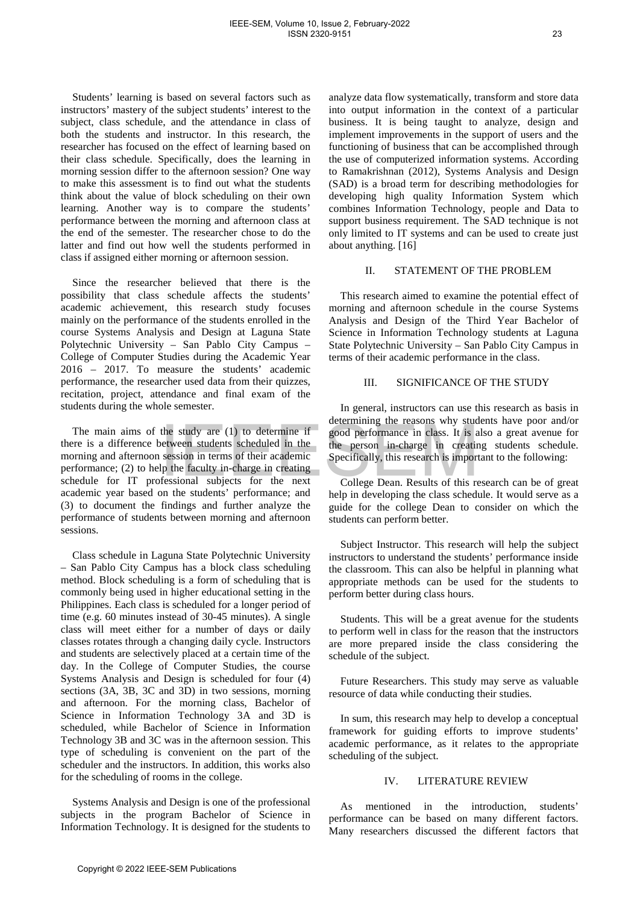Students' learning is based on several factors such as instructors' mastery of the subject students' interest to the subject, class schedule, and the attendance in class of both the students and instructor. In this research, the researcher has focused on the effect of learning based on their class schedule. Specifically, does the learning in morning session differ to the afternoon session? One way to make this assessment is to find out what the students think about the value of block scheduling on their own learning. Another way is to compare the students' performance between the morning and afternoon class at the end of the semester. The researcher chose to do the latter and find out how well the students performed in class if assigned either morning or afternoon session.

Since the researcher believed that there is the possibility that class schedule affects the students' academic achievement, this research study focuses mainly on the performance of the students enrolled in the course Systems Analysis and Design at Laguna State Polytechnic University – San Pablo City Campus – College of Computer Studies during the Academic Year 2016 – 2017. To measure the students' academic performance, the researcher used data from their quizzes, recitation, project, attendance and final exam of the students during the whole semester.

The main aims of the study are (1) to determine if there is a difference between students scheduled in the morning and afternoon session in terms of their academic performance; (2) to help the faculty in-charge in creating schedule for IT professional subjects for the next academic year based on the students' performance; and (3) to document the findings and further analyze the performance of students between morning and afternoon sessions.

Class schedule in Laguna State Polytechnic University – San Pablo City Campus has a block class scheduling method. Block scheduling is a form of scheduling that is commonly being used in higher educational setting in the Philippines. Each class is scheduled for a longer period of time (e.g. 60 minutes instead of 30-45 minutes). A single class will meet either for a number of days or daily classes rotates through a changing daily cycle. Instructors and students are selectively placed at a certain time of the day. In the College of Computer Studies, the course Systems Analysis and Design is scheduled for four (4) sections (3A, 3B, 3C and 3D) in two sessions, morning and afternoon. For the morning class, Bachelor of Science in Information Technology 3A and 3D is scheduled, while Bachelor of Science in Information Technology 3B and 3C was in the afternoon session. This type of scheduling is convenient on the part of the scheduler and the instructors. In addition, this works also for the scheduling of rooms in the college. The main aims of the study are (1) to determine if<br>  $\frac{1}{2}$  continuous are the solution and the period performance in class. It is a<br>
in difference between since that a the person in change in creating<br>  $\frac{1}{2}$  is a d

Systems Analysis and Design is one of the professional subjects in the program Bachelor of Science in Information Technology. It is designed for the students to analyze data flow systematically, transform and store data into output information in the context of a particular business. It is being taught to analyze, design and implement improvements in the support of users and the functioning of business that can be accomplished through the use of computerized information systems. According to Ramakrishnan (2012), Systems Analysis and Design (SAD) is a broad term for describing methodologies for developing high quality Information System which combines Information Technology, people and Data to support business requirement. The SAD technique is not only limited to IT systems and can be used to create just about anything. [16]

#### II. STATEMENT OF THE PROBLEM

This research aimed to examine the potential effect of morning and afternoon schedule in the course Systems Analysis and Design of the Third Year Bachelor of Science in Information Technology students at Laguna State Polytechnic University – San Pablo City Campus in terms of their academic performance in the class.

## III. SIGNIFICANCE OF THE STUDY

In general, instructors can use this research as basis in determining the reasons why students have poor and/or good performance in class. It is also a great avenue for the person in-charge in creating students schedule. Specifically, this research is important to the following:

College Dean. Results of this research can be of great help in developing the class schedule. It would serve as a guide for the college Dean to consider on which the students can perform better.

Subject Instructor. This research will help the subject instructors to understand the students' performance inside the classroom. This can also be helpful in planning what appropriate methods can be used for the students to perform better during class hours.

Students. This will be a great avenue for the students to perform well in class for the reason that the instructors are more prepared inside the class considering the schedule of the subject.

Future Researchers. This study may serve as valuable resource of data while conducting their studies.

In sum, this research may help to develop a conceptual framework for guiding efforts to improve students' academic performance, as it relates to the appropriate scheduling of the subject.

## IV. LITERATURE REVIEW

As mentioned in the introduction, students' performance can be based on many different factors. Many researchers discussed the different factors that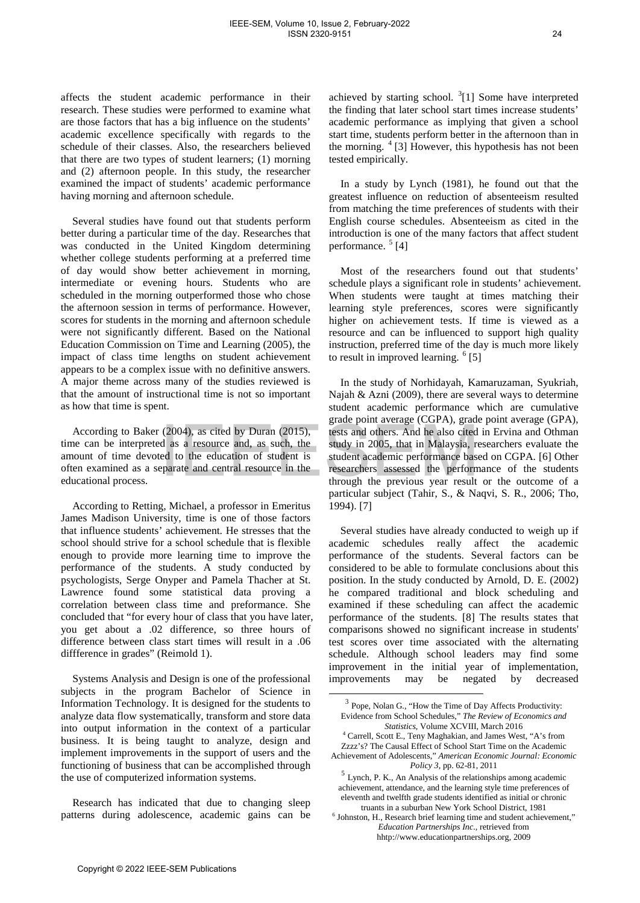affects the student academic performance in their research. These studies were performed to examine what are those factors that has a big influence on the students' academic excellence specifically with regards to the schedule of their classes. Also, the researchers believed that there are two types of student learners; (1) morning and (2) afternoon people. In this study, the researcher examined the impact of students' academic performance having morning and afternoon schedule.

Several studies have found out that students perform better during a particular time of the day. Researches that was conducted in the United Kingdom determining whether college students performing at a preferred time of day would show better achievement in morning, intermediate or evening hours. Students who are scheduled in the morning outperformed those who chose the afternoon session in terms of performance. However, scores for students in the morning and afternoon schedule were not significantly different. Based on the National Education Commission on Time and Learning (2005), the impact of class time lengths on student achievement appears to be a complex issue with no definitive answers. A major theme across many of the studies reviewed is that the amount of instructional time is not so important as how that time is spent.

According to Baker (2004), as cited by Duran (2015), time can be interpreted as a resource and, as such, the amount of time devoted to the education of student is often examined as a separate and central resource in the educational process.

According to Retting, Michael, a professor in Emeritus James Madison University, time is one of those factors that influence students' achievement. He stresses that the school should strive for a school schedule that is flexible enough to provide more learning time to improve the performance of the students. A study conducted by psychologists, Serge Onyper and Pamela Thacher at St. Lawrence found some statistical data proving a correlation between class time and preformance. She concluded that "for every hour of class that you have later, you get about a .02 difference, so three hours of difference between class start times will result in a .06 diffference in grades" (Reimold 1). cocording to Baker (2004), as cited by Duran (2015),<br>
associated ofference and the simulations. And the simulations of the<br>
can be imperpendent of simulations and space and space and space and the simulations of<br>
can be i

<span id="page-2-0"></span>Systems Analysis and Design is one of the professional subjects in the program Bachelor of Science in Information Technology. It is designed for the students to analyze data flow systematically, transform and store data into output information in the context of a particular business. It is being taught to analyze, design and implement improvements in the support of users and the functioning of business that can be accomplished through the use of computerized information systems.

Research has indicated that due to changing sleep patterns during adolescence, academic gains can be

achieved by starting school.  ${}^{3}[1]$  ${}^{3}[1]$  ${}^{3}[1]$  Some have interpreted the finding that later school start times increase students' academic performance as implying that given a school start time, students perform better in the afternoon than in the morning.  $4 \times 3$  $4 \times 3$  However, this hypothesis has not been tested empirically.

In a study by Lynch (1981), he found out that the greatest influence on reduction of absenteeism resulted from matching the time preferences of students with their English course schedules. Absenteeism as cited in the introduction is one of the many factors that affect student performance.  $5$  [4]

Most of the researchers found out that students' schedule plays a significant role in students' achievement. When students were taught at times matching their learning style preferences, scores were significantly higher on achievement tests. If time is viewed as a resource and can be influenced to support high quality instruction, preferred time of the day is much more likely to result in improved learning.  $6$  [5]

In the study of Norhidayah, Kamaruzaman, Syukriah, Najah & Azni (2009), there are several ways to determine student academic performance which are cumulative grade point average (CGPA), grade point average (GPA), tests and others. And he also cited in Ervina and Othman study in 2005, that in Malaysia, researchers evaluate the student academic performance based on CGPA. [6] Other researchers assessed the performance of the students through the previous year result or the outcome of a particular subject (Tahir, S., & Naqvi, S. R., 2006; Tho, 1994). [7]

Several studies have already conducted to weigh up if academic schedules really affect the academic performance of the students. Several factors can be considered to be able to formulate conclusions about this position. In the study conducted by Arnold, D. E. (2002) he compared traditional and block scheduling and examined if these scheduling can affect the academic performance of the students. [8] The results states that comparisons showed no significant increase in students' test scores over time associated with the alternating schedule. Although school leaders may find some improvement in the initial year of implementation, improvements may be negated by decreased

 <sup>3</sup> Pope, Nolan G., "How the Time of Day Affects Productivity: Evidence from School Schedules," *The Review of Economics and Statistics*, Volume XCVIII, March 2016

<sup>4</sup> Carrell, Scott E., Teny Maghakian, and James West, "A's from

Zzzz's? The Causal Effect of School Start Time on the Academic Achievement of Adolescents," *American Economic Journal: Economic* 

*Policy 3*, pp. 62-81, 2011<br><sup>5</sup> Lynch, P. K., An Analysis of the relationships among academic achievement, attendance, and the learning style time preferences of eleventh and twelfth grade students identified as initial or chronic truants in a suburban New York School District, 1981

 $6$  Johnston, H., Research brief learning time and student achievement," *Education Partnerships Inc.,* retrieved from hhtp://www.educationpartnerships.org, 2009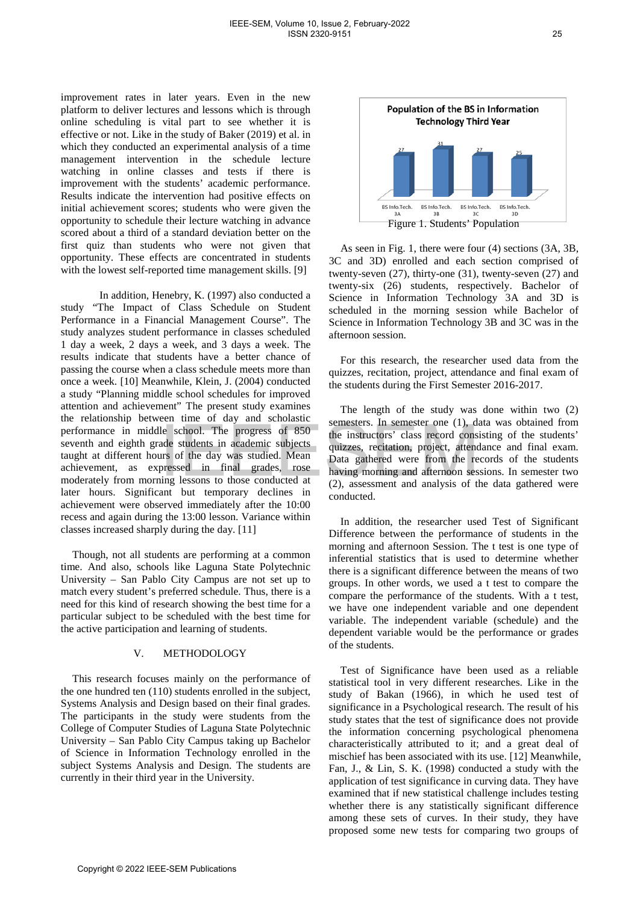improvement rates in later years. Even in the new platform to deliver lectures and lessons which is through online scheduling is vital part to see whether it is effective or not. Like in the study of Baker (2019) et al. in which they conducted an experimental analysis of a time management intervention in the schedule lecture watching in online classes and tests if there is improvement with the students' academic performance. Results indicate the intervention had positive effects on initial achievement scores; students who were given the opportunity to schedule their lecture watching in advance scored about a third of a standard deviation better on the first quiz than students who were not given that opportunity. These effects are concentrated in students with the lowest self-reported time management skills. [9]

In addition, Henebry, K. (1997) also conducted a study "The Impact of Class Schedule on Student Performance in a Financial Management Course". The study analyzes student performance in classes scheduled 1 day a week, 2 days a week, and 3 days a week. The results indicate that students have a better chance of passing the course when a class schedule meets more than once a week. [10] Meanwhile, Klein, J. (2004) conducted a study "Planning middle school schedules for improved attention and achievement" The present study examines the relationship between time of day and scholastic performance in middle school. The progress of 850 seventh and eighth grade students in academic subjects taught at different hours of the day was studied. Mean achievement, as expressed in final grades, rose moderately from morning lessons to those conducted at later hours. Significant but temporary declines in achievement were observed immediately after the 10:00 recess and again during the 13:00 lesson. Variance within classes increased sharply during the day. [11] Commance in middle school. The progress of 850<br>
for instructors' class record constraint and eighth gradient subcatential and eighting and different hours of the day was sudided. Mean Data gatheed were from the reverse th

Though, not all students are performing at a common time. And also, schools like Laguna State Polytechnic University – San Pablo City Campus are not set up to match every student's preferred schedule. Thus, there is a need for this kind of research showing the best time for a particular subject to be scheduled with the best time for the active participation and learning of students.

## V. METHODOLOGY

This research focuses mainly on the performance of the one hundred ten (110) students enrolled in the subject, Systems Analysis and Design based on their final grades. The participants in the study were students from the College of Computer Studies of Laguna State Polytechnic University – San Pablo City Campus taking up Bachelor of Science in Information Technology enrolled in the subject Systems Analysis and Design. The students are currently in their third year in the University.



As seen in Fig. 1, there were four (4) sections (3A, 3B, 3C and 3D) enrolled and each section comprised of twenty-seven (27), thirty-one (31), twenty-seven (27) and twenty-six (26) students, respectively. Bachelor of Science in Information Technology 3A and 3D is scheduled in the morning session while Bachelor of Science in Information Technology 3B and 3C was in the afternoon session.

For this research, the researcher used data from the quizzes, recitation, project, attendance and final exam of the students during the First Semester 2016-2017.

The length of the study was done within two (2) semesters. In semester one (1), data was obtained from the instructors' class record consisting of the students' quizzes, recitation, project, attendance and final exam. Data gathered were from the records of the students having morning and afternoon sessions. In semester two (2), assessment and analysis of the data gathered were conducted.

In addition, the researcher used Test of Significant Difference between the performance of students in the morning and afternoon Session. The t test is one type of inferential statistics that is used to determine whether there is a significant difference between the means of two groups. In other words, we used a t test to compare the compare the performance of the students. With a t test, we have one independent variable and one dependent variable. The independent variable (schedule) and the dependent variable would be the performance or grades of the students.

Test of Significance have been used as a reliable statistical tool in very different researches. Like in the study of Bakan (1966), in which he used test of significance in a Psychological research. The result of his study states that the test of significance does not provide the information concerning psychological phenomena characteristically attributed to it; and a great deal of mischief has been associated with its use. [12] Meanwhile, Fan, J., & Lin, S. K. (1998) conducted a study with the application of test significance in curving data. They have examined that if new statistical challenge includes testing whether there is any statistically significant difference among these sets of curves. In their study, they have proposed some new tests for comparing two groups of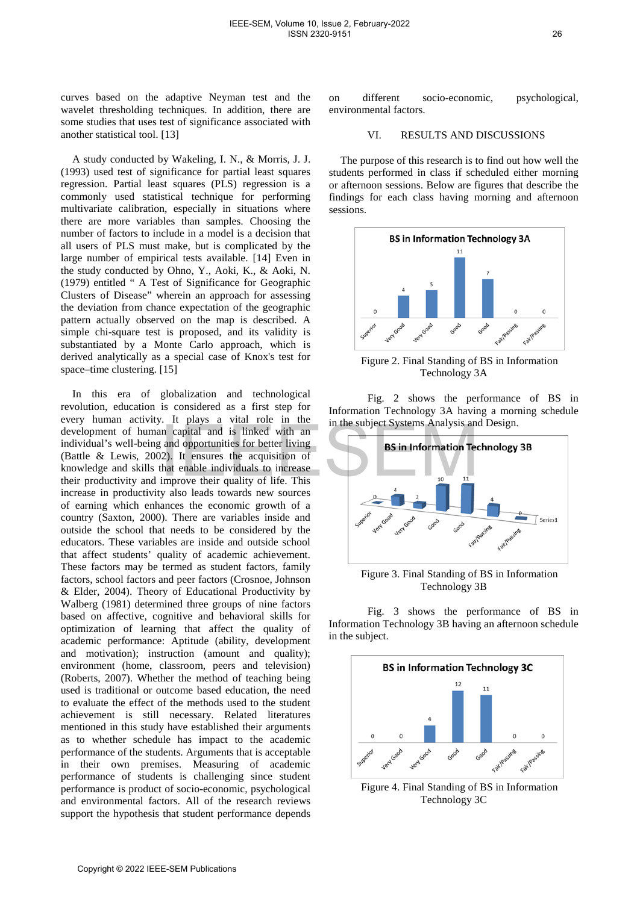curves based on the adaptive Neyman test and the wavelet thresholding techniques. In addition, there are some studies that uses test of significance associated with another statistical tool. [13]

A study conducted by Wakeling, I. N., & Morris, J. J. (1993) used test of significance for partial least squares regression. Partial least squares (PLS) regression is a commonly used statistical technique for performing multivariate calibration, especially in situations where there are more variables than samples. Choosing the number of factors to include in a model is a decision that all users of PLS must make, but is complicated by the large number of empirical tests available. [14] Even in the study conducted by Ohno, Y., Aoki, K., & Aoki, N. (1979) entitled " A Test of Significance for Geographic Clusters of Disease" wherein an approach for assessing the deviation from chance expectation of the geographic pattern actually observed on the map is described. A simple chi-square test is proposed, and its validity is substantiated by a Monte Carlo approach, which is derived analytically as a special case of Knox's test for space–time clustering. [15]

In this era of globalization and technological revolution, education is considered as a first step for every human activity. It plays a vital role in the development of human capital and is linked with an individual's well-being and opportunities for better living (Battle & Lewis, 2002). It ensures the acquisition of knowledge and skills that enable individuals to increase their productivity and improve their quality of life. This increase in productivity also leads towards new sources of earning which enhances the economic growth of a country (Saxton, 2000). There are variables inside and outside the school that needs to be considered by the educators. These variables are inside and outside school that affect students' quality of academic achievement. These factors may be termed as student factors, family factors, school factors and peer factors (Crosnoe, Johnson & Elder, 2004). Theory of Educational Productivity by Walberg (1981) determined three groups of nine factors based on affective, cognitive and behavioral skills for optimization of learning that affect the quality of academic performance: Aptitude (ability, development and motivation); instruction (amount and quality); environment (home, classroom, peers and television) (Roberts, 2007). Whether the method of teaching being used is traditional or outcome based education, the need to evaluate the effect of the methods used to the student achievement is still necessary. Related literatures mentioned in this study have established their arguments as to whether schedule has impact to the academic performance of the students. Arguments that is acceptable in their own premises. Measuring of academic performance of students is challenging since student performance is product of socio-economic, psychological and environmental factors. All of the research reviews support the hypothesis that student performance depends Continuum through the matrix of the method in the subject Systems Analysis and the sub-being and onportunities for being in an in the subject Systems Analysis and the tractions of the fit in the case in productivity and i

on different socio-economic, psychological, environmental factors.

## VI. RESULTS AND DISCUSSIONS

The purpose of this research is to find out how well the students performed in class if scheduled either morning or afternoon sessions. Below are figures that describe the findings for each class having morning and afternoon sessions.



Figure 2. Final Standing of BS in Information Technology 3A

Fig. 2 shows the performance of BS in Information Technology 3A having a morning schedule in the subject Systems Analysis and Design.



Figure 3. Final Standing of BS in Information Technology 3B

Fig. 3 shows the performance of BS in Information Technology 3B having an afternoon schedule in the subject.



Figure 4. Final Standing of BS in Information Technology 3C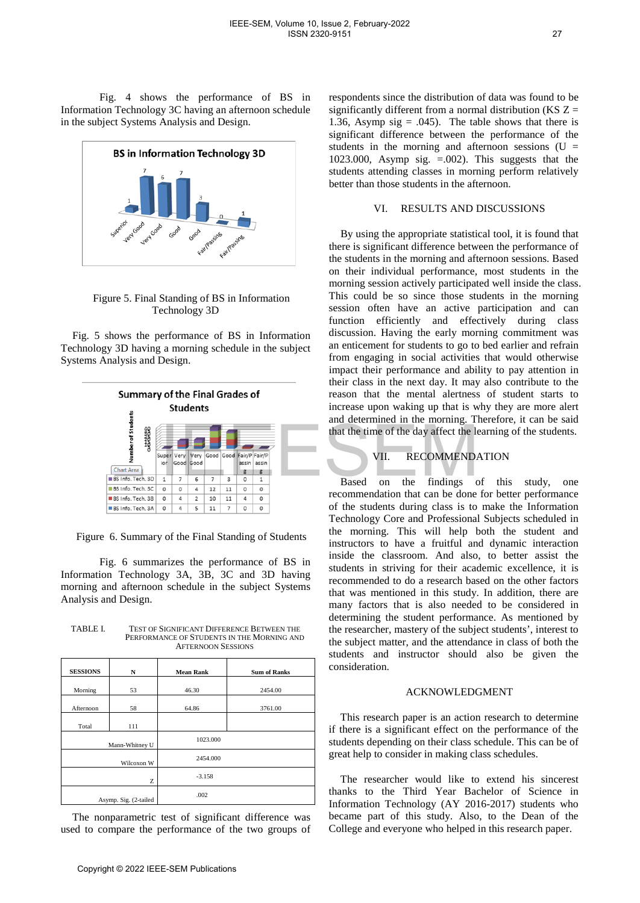Fig. 4 shows the performance of BS in Information Technology 3C having an afternoon schedule in the subject Systems Analysis and Design.



Figure 5. Final Standing of BS in Information Technology 3D

Fig. 5 shows the performance of BS in Information Technology 3D having a morning schedule in the subject Systems Analysis and Design.



Figure 6. Summary of the Final Standing of Students

| TABLE I. | <b>TEST OF SIGNIFICANT DIFFERENCE BETWEEN THE</b> |
|----------|---------------------------------------------------|
|          | PERFORMANCE OF STUDENTS IN THE MORNING AND        |
|          | <b>AFTERNOON SESSIONS</b>                         |

|                                                                                                              | Number of Stud<br><b>COLORATION</b>                                                                                                                                                                                                                                                                                                      |                  |                           |                                                                                                                                                                                                                                                                                                                                                                                                                                                      |          |                |                         |             |                     |                                                                    | $\ldots$<br>that the time of the day affect the le                           |
|--------------------------------------------------------------------------------------------------------------|------------------------------------------------------------------------------------------------------------------------------------------------------------------------------------------------------------------------------------------------------------------------------------------------------------------------------------------|------------------|---------------------------|------------------------------------------------------------------------------------------------------------------------------------------------------------------------------------------------------------------------------------------------------------------------------------------------------------------------------------------------------------------------------------------------------------------------------------------------------|----------|----------------|-------------------------|-------------|---------------------|--------------------------------------------------------------------|------------------------------------------------------------------------------|
|                                                                                                              | Chart Area                                                                                                                                                                                                                                                                                                                               | Super<br>ior     | Verv<br>Good Good         | Very                                                                                                                                                                                                                                                                                                                                                                                                                                                 |          |                | Good Good Fair/P Fair/P | assin assin |                     |                                                                    | VII.<br><b>RECOMMEND</b>                                                     |
|                                                                                                              | BS Info. Tech. 3D<br>BS Info. Tech. 3C                                                                                                                                                                                                                                                                                                   | $1\,$<br>$\circ$ | $\overline{7}$<br>0       | 6<br>4                                                                                                                                                                                                                                                                                                                                                                                                                                               | 7<br>12  | 3<br>11        | 0<br>0                  | 1<br>0      |                     |                                                                    | <b>Based</b><br>the<br>findings c<br>on                                      |
|                                                                                                              | BS Info. Tech. 3B                                                                                                                                                                                                                                                                                                                        | 0                | 4                         | $\overline{2}$                                                                                                                                                                                                                                                                                                                                                                                                                                       | 10       | 11             | 4                       | 0           |                     |                                                                    | recommendation that can be done                                              |
|                                                                                                              | BS Info. Tech. 3A                                                                                                                                                                                                                                                                                                                        | 0                | 4                         | 5                                                                                                                                                                                                                                                                                                                                                                                                                                                    | 11       | $\overline{7}$ | 0                       | 0           |                     |                                                                    | of the students during class is to                                           |
| TABLE I.                                                                                                     | Figure 6. Summary of the Final Standing of Students<br>Fig. 6 summarizes the performance of BS in<br>Information Technology 3A, 3B, 3C and 3D having<br>morning and afternoon schedule in the subject Systems<br>Analysis and Design.<br><b>TEST OF SIGNIFICANT DIFFERENCE BETWEEN THE</b><br>PERFORMANCE OF STUDENTS IN THE MORNING AND |                  | <b>AFTERNOON SESSIONS</b> | Technology Core and Professional<br>the morning. This will help b<br>instructors to have a fruitful and<br>inside the classroom. And also,<br>students in striving for their acad<br>recommended to do a research bas<br>that was mentioned in this study.<br>many factors that is also needed<br>determining the student performa<br>the researcher, mastery of the subje<br>the subject matter, and the attendar<br>students and instructor should |          |                |                         |             |                     |                                                                    |                                                                              |
| <b>SESSIONS</b>                                                                                              | N                                                                                                                                                                                                                                                                                                                                        |                  |                           | <b>Mean Rank</b>                                                                                                                                                                                                                                                                                                                                                                                                                                     |          |                |                         |             | <b>Sum of Ranks</b> |                                                                    | consideration.                                                               |
| Morning                                                                                                      | 53                                                                                                                                                                                                                                                                                                                                       |                  |                           | 46.30                                                                                                                                                                                                                                                                                                                                                                                                                                                |          |                |                         |             | 2454.00             |                                                                    | <b>ACKNOWLEDO</b>                                                            |
| Afternoon                                                                                                    | 58                                                                                                                                                                                                                                                                                                                                       |                  |                           | 64.86                                                                                                                                                                                                                                                                                                                                                                                                                                                |          |                |                         |             | 3761.00             |                                                                    |                                                                              |
| Total                                                                                                        | 111                                                                                                                                                                                                                                                                                                                                      |                  |                           |                                                                                                                                                                                                                                                                                                                                                                                                                                                      |          |                |                         |             |                     |                                                                    | This research paper is an action                                             |
|                                                                                                              | Mann-Whitney U                                                                                                                                                                                                                                                                                                                           |                  |                           |                                                                                                                                                                                                                                                                                                                                                                                                                                                      | 1023.000 |                |                         |             |                     |                                                                    | if there is a significant effect on t<br>students depending on their class s |
|                                                                                                              | Wilcoxon W                                                                                                                                                                                                                                                                                                                               |                  |                           | 2454.000                                                                                                                                                                                                                                                                                                                                                                                                                                             |          |                |                         |             |                     | great help to consider in making cla                               |                                                                              |
|                                                                                                              | Z                                                                                                                                                                                                                                                                                                                                        |                  |                           | $-3.158$                                                                                                                                                                                                                                                                                                                                                                                                                                             |          |                |                         |             |                     | The researcher would like to                                       |                                                                              |
| Asymp. Sig. (2-tailed                                                                                        |                                                                                                                                                                                                                                                                                                                                          |                  | .002                      |                                                                                                                                                                                                                                                                                                                                                                                                                                                      |          |                |                         |             |                     | thanks to the Third Year Bac<br>Information Technology (AY 201     |                                                                              |
| The nonparametric test of significant difference was<br>used to compare the performance of the two groups of |                                                                                                                                                                                                                                                                                                                                          |                  |                           |                                                                                                                                                                                                                                                                                                                                                                                                                                                      |          |                |                         |             |                     | became part of this study. Also<br>College and everyone who helped |                                                                              |
| Copyright © 2022 IEEE-SEM Publications                                                                       |                                                                                                                                                                                                                                                                                                                                          |                  |                           |                                                                                                                                                                                                                                                                                                                                                                                                                                                      |          |                |                         |             |                     |                                                                    |                                                                              |

respondents since the distribution of data was found to be significantly different from a normal distribution (KS  $Z =$ 1.36, Asymp sig =  $.045$ ). The table shows that there is significant difference between the performance of the students in the morning and afternoon sessions  $(U =$ 1023.000, Asymp sig.  $=0.002$ ). This suggests that the students attending classes in morning perform relatively better than those students in the afternoon.

## VI. RESULTS AND DISCUSSIONS

By using the appropriate statistical tool, it is found that there is significant difference between the performance of the students in the morning and afternoon sessions. Based on their individual performance, most students in the morning session actively participated well inside the class. This could be so since those students in the morning session often have an active participation and can function efficiently and effectively during class discussion. Having the early morning commitment was an enticement for students to go to bed earlier and refrain from engaging in social activities that would otherwise impact their performance and ability to pay attention in their class in the next day. It may also contribute to the reason that the mental alertness of student starts to increase upon waking up that is why they are more alert and determined in the morning. Therefore, it can be said that the time of the day affect the learning of the students.

## VII. RECOMMENDATION

Based on the findings of this study, one recommendation that can be done for better performance of the students during class is to make the Information Technology Core and Professional Subjects scheduled in the morning. This will help both the student and instructors to have a fruitful and dynamic interaction inside the classroom. And also, to better assist the students in striving for their academic excellence, it is recommended to do a research based on the other factors that was mentioned in this study. In addition, there are many factors that is also needed to be considered in determining the student performance. As mentioned by the researcher, mastery of the subject students', interest to the subject matter, and the attendance in class of both the students and instructor should also be given the consideration.

#### ACKNOWLEDGMENT

This research paper is an action research to determine if there is a significant effect on the performance of the students depending on their class schedule. This can be of great help to consider in making class schedules.

The researcher would like to extend his sincerest thanks to the Third Year Bachelor of Science in Information Technology (AY 2016-2017) students who became part of this study. Also, to the Dean of the College and everyone who helped in this research paper.